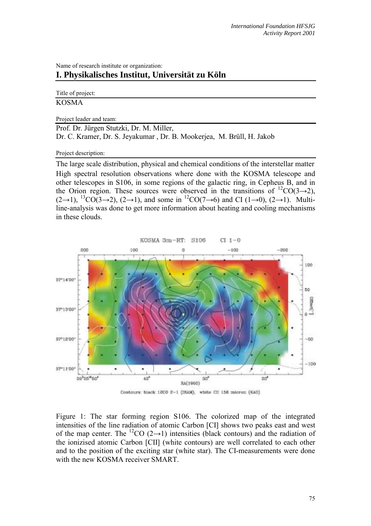### Name of research institute or organization: **I. Physikalisches Institut, Universität zu Köln**

#### Title of project: KOSMA

#### Project leader and team:

Prof. Dr. Jürgen Stutzki, Dr. M. Miller, Dr. C. Kramer, Dr. S. Jeyakumar , Dr. B. Mookerjea, M. Brüll, H. Jakob

#### Project description:

The large scale distribution, physical and chemical conditions of the interstellar matter High spectral resolution observations where done with the KOSMA telescope and other telescopes in S106, in some regions of the galactic ring, in Cepheus B, and in the Orion region. These sources were observed in the transitions of  ${}^{12}CO(3\rightarrow 2)$ ,  $(2\rightarrow 1)$ , <sup>13</sup>CO(3→2), (2→1), and some in <sup>12</sup>CO(7→6) and CI (1→0), (2→1). Multiline-analysis was done to get more information about heating and cooling mechanisms in these clouds.





Figure 1: The star forming region S106. The colorized map of the integrated intensities of the line radiation of atomic Carbon [CI] shows two peaks east and west of the map center. The <sup>12</sup>CO (2→1) intensities (black contours) and the radiation of the ionizised atomic Carbon [CII] (white contours) are well correlated to each other and to the position of the exciting star (white star). The CI-measurements were done with the new KOSMA receiver SMART.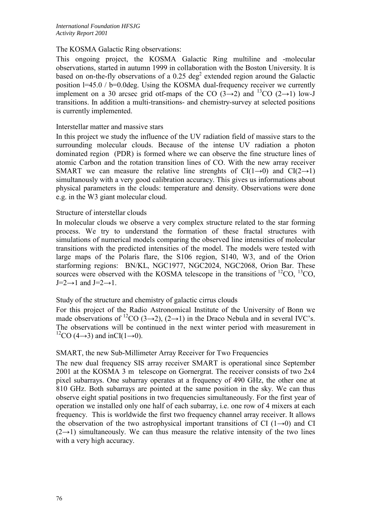# The KOSMA Galactic Ring observations:

This ongoing project, the KOSMA Galactic Ring multiline and -molecular observations, started in autumn 1999 in collaboration with the Boston University. It is based on on-the-fly observations of a 0.25 deg<sup>2</sup> extended region around the Galactic position l=45.0 / b=0.0deg. Using the KOSMA dual-frequency receiver we currently implement on a 30 arcsec grid otf-maps of the CO  $(3\rightarrow 2)$  and <sup>13</sup>CO  $(2\rightarrow 1)$  low-J transitions. In addition a multi-transitions- and chemistry-survey at selected positions is currently implemented.

## Interstellar matter and massive stars

In this project we study the influence of the UV radiation field of massive stars to the surrounding molecular clouds. Because of the intense UV radiation a photon dominated region (PDR) is formed where we can observe the fine structure lines of atomic Carbon and the rotation transition lines of CO. With the new array receiver SMART we can measure the relative line strenghts of  $CI(1\rightarrow 0)$  and  $CI(2\rightarrow 1)$ simultanously with a very good calibration accuracy. This gives us informations about physical parameters in the clouds: temperature and density. Observations were done e.g. in the W3 giant molecular cloud.

## Structure of interstellar clouds

In molecular clouds we observe a very complex structure related to the star forming process. We try to understand the formation of these fractal structures with simulations of numerical models comparing the observed line intensities of molecular transitions with the predicted intensities of the model. The models were tested with large maps of the Polaris flare, the S106 region, S140, W3, and of the Orion starforming regions: BN/KL, NGC1977, NGC2024, NGC2068, Orion Bar. These sources were observed with the KOSMA telescope in the transitions of  ${}^{12}CO$ ,  ${}^{13}CO$ ,  $J=2\rightarrow 1$  and  $J=2\rightarrow 1$ .

# Study of the structure and chemistry of galactic cirrus clouds

For this project of the Radio Astronomical Institute of the University of Bonn we made observations of <sup>12</sup>CO (3→2), (2→1) in the Draco Nebula and in several IVC's. The observations will be continued in the next winter period with measurement in <sup>12</sup>CO (4→3) and inCI(1→0).

### SMART, the new Sub-Millimeter Array Receiver for Two Frequencies

The new dual frequency SIS array receiver SMART is operational since September 2001 at the KOSMA 3 m telescope on Gornergrat. The receiver consists of two 2x4 pixel subarrays. One subarray operates at a frequency of 490 GHz, the other one at 810 GHz. Both subarrays are pointed at the same position in the sky. We can thus observe eight spatial positions in two frequencies simultaneously. For the first year of operation we installed only one half of each subarray, i.e. one row of 4 mixers at each frequency. This is worldwide the first two frequency channel array receiver. It allows the observation of the two astrophysical important transitions of CI (1→0) and CI  $(2\rightarrow 1)$  simultaneously. We can thus measure the relative intensity of the two lines with a very high accuracy.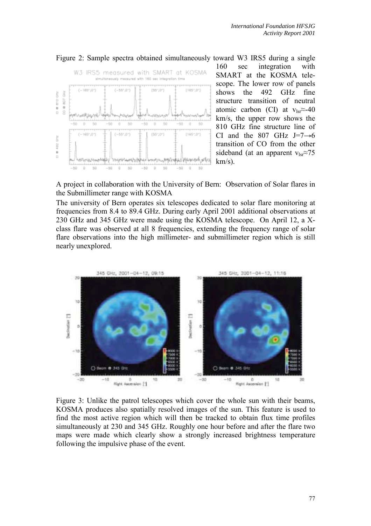

Figure 2: Sample spectra obtained simultaneously toward W3 IRS5 during a single 160 sec integration with SMART at the KOSMA telescope. The lower row of panels shows the 492 GHz fine structure transition of neutral atomic carbon (CI) at  $v_{lsr} \approx -40$ km/s, the upper row shows the 810 GHz fine structure line of CI and the 807 GHz J=7 $\rightarrow$ 6 transition of CO from the other sideband (at an apparent v<sub>lsr</sub>≈75  $km/s$ ).

A project in collaboration with the University of Bern: Observation of Solar flares in the Submillimeter range with KOSMA

The university of Bern operates six telescopes dedicated to solar flare monitoring at frequencies from 8.4 to 89.4 GHz. During early April 2001 additional observations at 230 GHz and 345 GHz were made using the KOSMA telescope. On April 12, a Xclass flare was observed at all 8 frequencies, extending the frequency range of solar flare observations into the high millimeter- and submillimeter region which is still nearly unexplored.



Figure 3: Unlike the patrol telescopes which cover the whole sun with their beams, KOSMA produces also spatially resolved images of the sun. This feature is used to find the most active region which will then be tracked to obtain flux time profiles simultaneously at 230 and 345 GHz. Roughly one hour before and after the flare two maps were made which clearly show a strongly increased brightness temperature following the impulsive phase of the event.